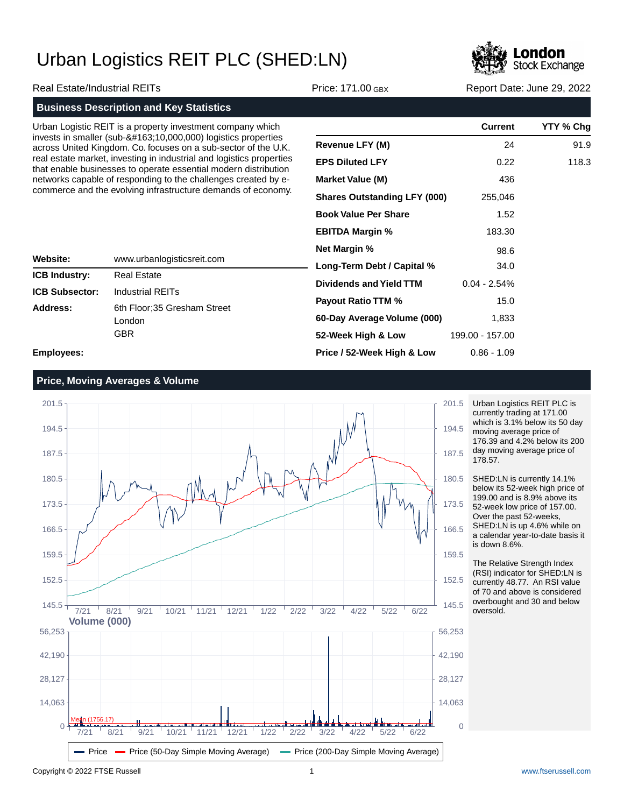

Real Estate/Industrial REITs **Price: 171.00 GBX** Report Date: June 29, 2022

## **Business Description and Key Statistics** Urban Logistic REIT is a property investment company invests in smaller (sub- $&4163;10,000,000$ ) logistics across United Kingdom. Co. focuses on a sub-sect real estate market, investing in industrial and logis that enable businesses to operate essential moder

|                       | Urban Logistic REIT is a property investment company which                                                                              |                                     | <b>Current</b>         | YTY % Chg |
|-----------------------|-----------------------------------------------------------------------------------------------------------------------------------------|-------------------------------------|------------------------|-----------|
|                       | invests in smaller (sub-£:10,000,000) logistics properties<br>across United Kingdom. Co. focuses on a sub-sector of the U.K.            | <b>Revenue LFY (M)</b>              | 24                     | 91.9      |
|                       | real estate market, investing in industrial and logistics properties<br>that enable businesses to operate essential modern distribution | <b>EPS Diluted LFY</b>              | 0.22                   | 118.3     |
|                       | networks capable of responding to the challenges created by e-                                                                          | <b>Market Value (M)</b>             | 436                    |           |
|                       | commerce and the evolving infrastructure demands of economy.                                                                            | <b>Shares Outstanding LFY (000)</b> | 255,046<br>1.52        |           |
|                       |                                                                                                                                         | <b>Book Value Per Share</b>         |                        |           |
|                       |                                                                                                                                         | <b>EBITDA Margin %</b>              | 183.30                 |           |
|                       | <b>Net Margin %</b>                                                                                                                     |                                     | 98.6                   |           |
| <b>Website:</b>       | www.urbanlogisticsreit.com                                                                                                              | Long-Term Debt / Capital %          | 34.0                   |           |
| <b>ICB Industry:</b>  | <b>Real Estate</b><br><b>Industrial REITs</b><br>6th Floor: 35 Gresham Street<br>London                                                 | <b>Dividends and Yield TTM</b>      | $0.04 - 2.54%$<br>15.0 |           |
| <b>ICB Subsector:</b> |                                                                                                                                         | Payout Ratio TTM %                  |                        |           |
| Address:              |                                                                                                                                         | 60-Day Average Volume (000)         | 1,833                  |           |
|                       | <b>GBR</b>                                                                                                                              | 52-Week High & Low                  | 199.00 - 157.00        |           |
| <b>Employees:</b>     |                                                                                                                                         | Price / 52-Week High & Low          | $0.86 - 1.09$          |           |

**Employees:**

## **Price, Moving Averages & Volume**



Urban Logistics REIT PLC is currently trading at 171.00 which is 3.1% below its 50 day moving average price of 176.39 and 4.2% below its 200 day moving average price of 178.57.

SHED:LN is currently 14.1% below its 52-week high price of 199.00 and is 8.9% above its 52-week low price of 157.00. Over the past 52-weeks, SHED:LN is up 4.6% while on a calendar year-to-date basis it is down 8.6%.

The Relative Strength Index (RSI) indicator for SHED:LN is currently 48.77. An RSI value of 70 and above is considered overbought and 30 and below oversold.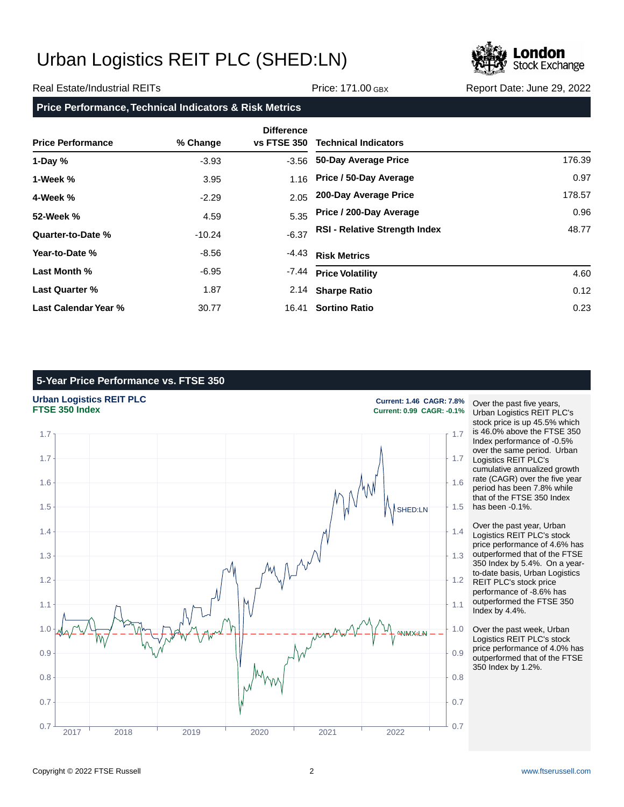

#### Real Estate/Industrial REITs **Price: 171.00 GBX** Report Date: June 29, 2022

**Price Performance, Technical Indicators & Risk Metrics**

| <b>Price Performance</b> | % Change | <b>Difference</b><br><b>vs FTSE 350</b> | <b>Technical Indicators</b>          |        |
|--------------------------|----------|-----------------------------------------|--------------------------------------|--------|
| 1-Day $%$                | $-3.93$  | -3.56                                   | 50-Day Average Price                 | 176.39 |
| 1-Week %                 | 3.95     | 1.16                                    | Price / 50-Day Average               | 0.97   |
| 4-Week %                 | $-2.29$  | 2.05                                    | 200-Day Average Price                | 178.57 |
| 52-Week %                | 4.59     | 5.35                                    | Price / 200-Day Average              | 0.96   |
| Quarter-to-Date %        | $-10.24$ | $-6.37$                                 | <b>RSI - Relative Strength Index</b> | 48.77  |
| Year-to-Date %           | $-8.56$  | $-4.43$                                 | <b>Risk Metrics</b>                  |        |
| Last Month %             | -6.95    | -7.44                                   | <b>Price Volatility</b>              | 4.60   |
| Last Quarter %           | 1.87     | 2.14                                    | <b>Sharpe Ratio</b>                  | 0.12   |
| Last Calendar Year %     | 30.77    | 16.41                                   | <b>Sortino Ratio</b>                 | 0.23   |

## **5-Year Price Performance vs. FTSE 350**

**Urban Logistics REIT PLC Current: 1.46 CAGR: 7.8%**



Over the past five years, Urban Logistics REIT PLC's stock price is up 45.5% which is 46.0% above the FTSE 350 Index performance of -0.5% over the same period. Urban Logistics REIT PLC's cumulative annualized growth rate (CAGR) over the five year period has been 7.8% while that of the FTSE 350 Index has been -0.1%.

**FTSE 350 Index Current: 0.99 CAGR: -0.1%**

Over the past year, Urban Logistics REIT PLC's stock price performance of 4.6% has outperformed that of the FTSE 350 Index by 5.4%. On a yearto-date basis, Urban Logistics REIT PLC's stock price performance of -8.6% has outperformed the FTSE 350 Index by 4.4%.

Over the past week, Urban Logistics REIT PLC's stock price performance of 4.0% has outperformed that of the FTSE 350 Index by 1.2%.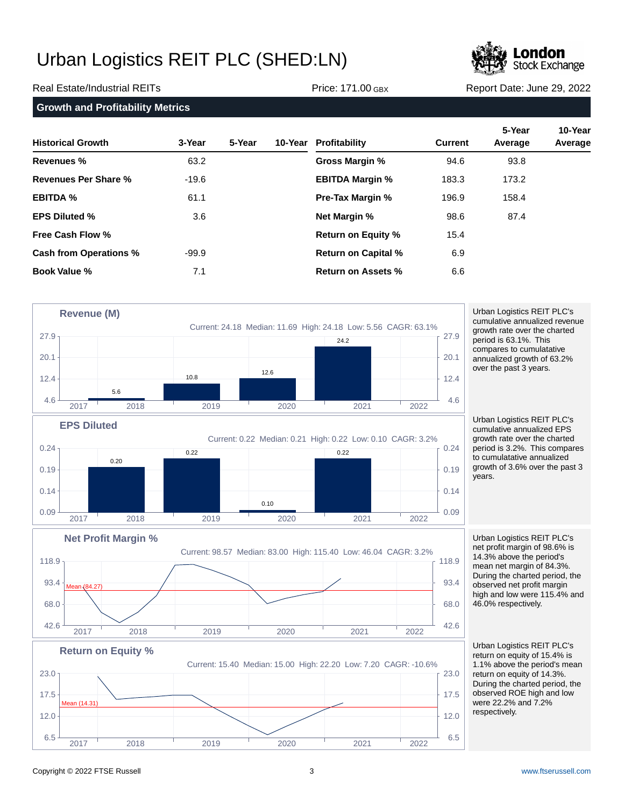

Real Estate/Industrial REITs **Price: 171.00 GBX** Report Date: June 29, 2022

**Growth and Profitability Metrics**

| <b>Historical Growth</b>      | 3-Year  | 5-Year | 10-Year Profitability      | <b>Current</b> | 5-Year<br>Average | 10-Year<br>Average |
|-------------------------------|---------|--------|----------------------------|----------------|-------------------|--------------------|
| Revenues %                    | 63.2    |        | Gross Margin %             | 94.6           | 93.8              |                    |
| Revenues Per Share %          | $-19.6$ |        | <b>EBITDA Margin %</b>     | 183.3          | 173.2             |                    |
| <b>EBITDA %</b>               | 61.1    |        | <b>Pre-Tax Margin %</b>    | 196.9          | 158.4             |                    |
| <b>EPS Diluted %</b>          | 3.6     |        | <b>Net Margin %</b>        | 98.6           | 87.4              |                    |
| <b>Free Cash Flow %</b>       |         |        | <b>Return on Equity %</b>  | 15.4           |                   |                    |
| <b>Cash from Operations %</b> | $-99.9$ |        | <b>Return on Capital %</b> | 6.9            |                   |                    |
| <b>Book Value %</b>           | 7.1     |        | Return on Assets %         | 6.6            |                   |                    |



Urban Logistics REIT PLC's cumulative annualized revenue growth rate over the charted period is 63.1%. This compares to cumulatative annualized growth of 63.2% over the past 3 years.

Urban Logistics REIT PLC's cumulative annualized EPS growth rate over the charted period is 3.2%. This compares to cumulatative annualized growth of 3.6% over the past 3 years.

Urban Logistics REIT PLC's net profit margin of 98.6% is 14.3% above the period's mean net margin of 84.3%. During the charted period, the observed net profit margin high and low were 115.4% and 46.0% respectively.

Urban Logistics REIT PLC's return on equity of 15.4% is 1.1% above the period's mean return on equity of 14.3%. During the charted period, the observed ROE high and low were 22.2% and 7.2% respectively.

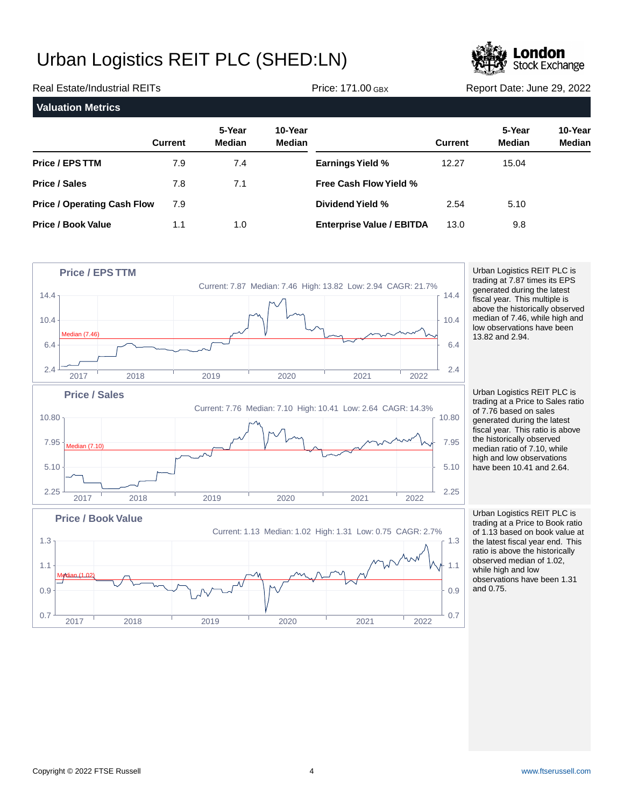7.9 1.1



5.10

9.8

| <b>Real Estate/Industrial REITs</b> |                |                         |                          | <b>Price: 171.00 GBX</b>      |                | Report Date: June 29, 2022 |                          |  |
|-------------------------------------|----------------|-------------------------|--------------------------|-------------------------------|----------------|----------------------------|--------------------------|--|
| <b>Valuation Metrics</b>            |                |                         |                          |                               |                |                            |                          |  |
|                                     | <b>Current</b> | 5-Year<br><b>Median</b> | 10-Year<br><b>Median</b> |                               | <b>Current</b> | 5-Year<br>Median           | 10-Year<br><b>Median</b> |  |
| <b>Price / EPS TTM</b>              | 7.9            | 7.4                     |                          | <b>Earnings Yield %</b>       | 12.27          | 15.04                      |                          |  |
| <b>Price / Sales</b>                | 7.8            | 7.1                     |                          | <b>Free Cash Flow Yield %</b> |                |                            |                          |  |

**Dividend Yield %**

**Enterprise Value / EBITDA**

2.54 13.0

| <b>Price / EPS TTM</b>                             |      |      | Current: 7.87 Median: 7.46 High: 13.82 Low: 2.94 CAGR: 21.7%         |      |      |                            | Urban Logistics REIT PLC is<br>trading at 7.87 times its EPS                                                                                                                     |
|----------------------------------------------------|------|------|----------------------------------------------------------------------|------|------|----------------------------|----------------------------------------------------------------------------------------------------------------------------------------------------------------------------------|
| 14.4<br>10.4<br><b>Median (7.46)</b><br>6.4<br>2.4 |      |      |                                                                      |      |      | 14.4<br>10.4<br>6.4<br>2.4 | generated during the latest<br>fiscal year. This multiple is<br>above the historically observe<br>median of 7.46, while high ar<br>low observations have been<br>13.82 and 2.94. |
| 2017<br><b>Price / Sales</b>                       | 2018 | 2019 | 2020<br>Current: 7.76 Median: 7.10 High: 10.41 Low: 2.64 CAGR: 14.3% | 2021 | 2022 |                            | Urban Logistics REIT PLC is<br>trading at a Price to Sales rat<br>of 7.76 based on sales                                                                                         |
| $10.80 \cdot$<br>7.95<br><b>Median (7.10)</b>      |      |      |                                                                      |      |      | 10.80<br>7.95              | generated during the latest<br>fiscal year. This ratio is above<br>the historically observed<br>median ratio of 7.10, while                                                      |
| 5.10                                               |      |      |                                                                      |      |      | 5.10                       | high and low observations<br>have been 10.41 and 2.64.                                                                                                                           |
| 2.25<br>2017                                       | 2018 | 2019 | 2020                                                                 | 2021 | 2022 | 2.25                       |                                                                                                                                                                                  |
| <b>Price / Book Value</b><br>$1.3 +$               |      |      | Current: 1.13 Median: 1.02 High: 1.31 Low: 0.75 CAGR: 2.7%           |      |      | 1.3                        | Urban Logistics REIT PLC is<br>trading at a Price to Book rati<br>of 1.13 based on book value<br>the latest fiscal year end. Thi                                                 |

 $0.7 \frac{1}{1}$  0.24  $\frac{1}{1}$  0.24  $\frac{1}{1}$  0.25  $\frac{1}{1}$  0.25  $\frac{1}{1}$  0.25  $\frac{1}{1}$  0.25  $\frac{1}{1}$  0.25  $\frac{1}{1}$  0.25  $\frac{1}{1}$  0.25  $\frac{1}{1}$  0.25  $\frac{1}{1}$  0.25  $\frac{1}{1}$  0.25  $\frac{1}{1}$  0.25  $\frac{1}{1}$  0.25  $\frac{1}{1}$ 

2017 2018 2019 2020 2021 2022

0.9  $\left\{\begin{array}{ccc}0.9 & \cdots & \cdots & \cdots & \cdots \end{array}\right\}$ 

1.1 |  $\sqrt{W} \sqrt{W}$  |  $\sqrt{W}$  |  $\sqrt{W}$  |  $\sqrt{W}$  |  $\sqrt{W}$  |  $\sqrt{W}$  |  $\sqrt{W}$  |  $\sqrt{W}$  |  $\sqrt{W}$  |  $\sqrt{W}$  |  $\sqrt{W}$  |  $\sqrt{W}$  |  $\sqrt{W}$  |  $\sqrt{W}$  |  $\sqrt{W}$  |  $\sqrt{W}$  |  $\sqrt{W}$  |  $\sqrt{W}$  |  $\sqrt{W}$  |  $\sqrt{W}$  |  $\sqrt{W}$  |

1.0

historically observed 7.46, while high and vations have been  $12.94.$ 

gistics REIT PLC is a Price to Sales ratio sed on sales during the latest  $:$  This ratio is above ically observed  $t$  atio of  $7.10$ , while low observations n 10.41 and 2.64.

gistics REIT PLC is a Price to Book ratio sed on book value at the latest fiscal year end. This ratio is above the historically observed median of 1.02, while high and low observations have been 1.31 and 0.75.

Median (1.02)

**Price / Operating Cash Flow**

**Price / Book Value**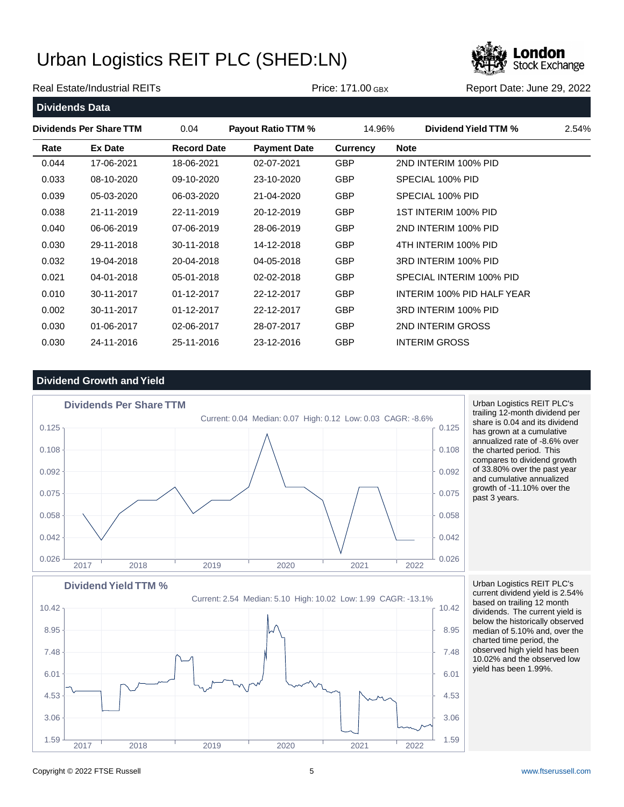

#### Real Estate/Industrial REITs **Price: 171.00 GBX** Report Date: June 29, 2022

**Dividends Data Dividends Per Share TTM** 0.04 **Payout Ratio TTM %** 14.96% **Dividend Yield TTM %** 2.54% **Rate Ex Date Record Date Payment Date Currency Note** 0.044 17-06-2021 18-06-2021 02-07-2021 GBP 2ND INTERIM 100% PID 0.033 08-10-2020 09-10-2020 23-10-2020 GBP SPECIAL 100% PID 0.039 05-03-2020 06-03-2020 21-04-2020 GBP SPECIAL 100% PID 0.038 21-11-2019 22-11-2019 20-12-2019 GBP 1ST INTERIM 100% PID 0.040 06-06-2019 07-06-2019 28-06-2019 GBP 2ND INTERIM 100% PID 0.030 29-11-2018 30-11-2018 14-12-2018 GBP 4TH INTERIM 100% PID 0.032 19-04-2018 20-04-2018 04-05-2018 GBP 3RD INTERIM 100% PID 0.021 04-01-2018 05-01-2018 02-02-2018 GBP SPECIAL INTERIM 100% PID 0.010 30-11-2017 01-12-2017 22-12-2017 GBP INTERIM 100% PID HALF YEAR 0.002 30-11-2017 01-12-2017 22-12-2017 GBP 3RD INTERIM 100% PID

### **Dividend Growth and Yield**



 $1.59 + 2.59 + 1.59$ 

2017 2018 2019 2020 2021 2022

 $3.06 + 3.06$ 

 $4.53$   $4.53$ 

 $6.01$  6.01

 $7.48$   $\uparrow$  7.48

 $8.95$  8.95

10.42 <sub>1</sub> 10.42 **10.42** 10.42 **10.42** 

0.030 01-06-2017 02-06-2017 28-07-2017 GBP 2ND INTERIM GROSS 0.030 24-11-2016 25-11-2016 23-12-2016 GBP INTERIM GROSS

> Urban Logistics REIT PLC's trailing 12-month dividend per share is 0.04 and its dividend has grown at a cumulative annualized rate of -8.6% over the charted period. This compares to dividend growth of 33.80% over the past year and cumulative annualized growth of -11.10% over the past 3 years.

Urban Logistics REIT PLC's current dividend yield is 2.54% based on trailing 12 month dividends. The current yield is below the historically observed median of 5.10% and, over the charted time period, the observed high yield has been 10.02% and the observed low yield has been 1.99%.

Copyright © 2022 FTSE Russell 5 [www.ftserussell.com](http://www.ftserussell.com)

**Dividend Yield TTM %**

Current: 2.54 Median: 5.10 High: 10.02 Low: 1.99 CAGR: -13.1%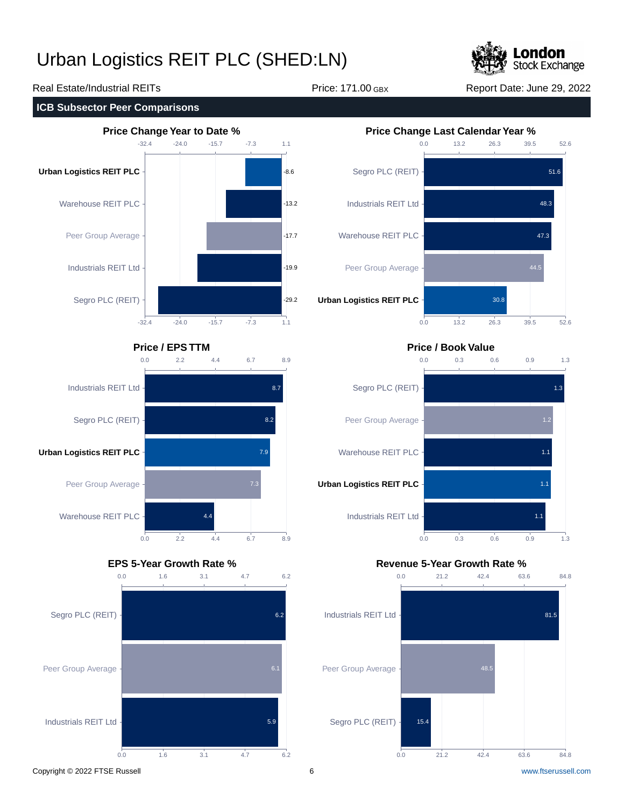

## Real Estate/Industrial REITs **Price: 171.00 GBX** Report Date: June 29, 2022











## **Price / EPS TTM Price / Book Value**



### **EPS 5-Year Growth Rate % Revenue 5-Year Growth Rate %**

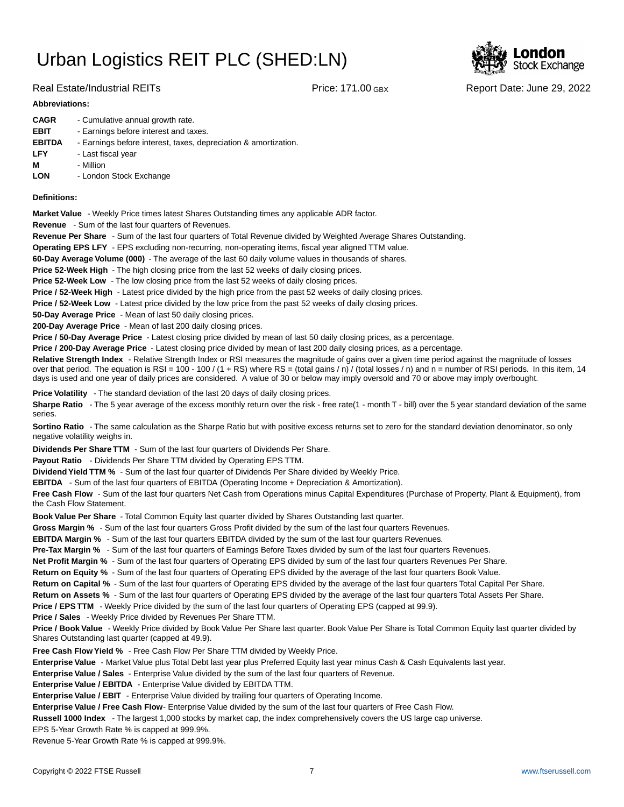

Real Estate/Industrial REITs **Price: 171.00 GBX** Report Date: June 29, 2022

#### **Abbreviations:**

| <b>CAGR</b>   | - Cumulative annual growth rate.                                |
|---------------|-----------------------------------------------------------------|
| <b>EBIT</b>   | - Earnings before interest and taxes.                           |
| <b>EBITDA</b> | - Earnings before interest, taxes, depreciation & amortization. |
| <b>LFY</b>    | - Last fiscal year                                              |
| м             | - Million                                                       |
| <b>LON</b>    | - London Stock Exchange                                         |
|               |                                                                 |

#### **Definitions:**

**Market Value** - Weekly Price times latest Shares Outstanding times any applicable ADR factor.

**Revenue** - Sum of the last four quarters of Revenues.

**Revenue Per Share** - Sum of the last four quarters of Total Revenue divided by Weighted Average Shares Outstanding.

**Operating EPS LFY** - EPS excluding non-recurring, non-operating items, fiscal year aligned TTM value.

60-Day Average Volume (000) - The average of the last 60 daily volume values in thousands of shares.

**Price 52-Week High** - The high closing price from the last 52 weeks of daily closing prices.

**Price 52-Week Low** - The low closing price from the last 52 weeks of daily closing prices.

**Price / 52-Week High** - Latest price divided by the high price from the past 52 weeks of daily closing prices.

**Price / 52-Week Low** - Latest price divided by the low price from the past 52 weeks of daily closing prices.

**50-Day Average Price** - Mean of last 50 daily closing prices.

**200-Day Average Price** - Mean of last 200 daily closing prices.

Price / 50-Day Average Price - Latest closing price divided by mean of last 50 daily closing prices, as a percentage.

**Price / 200-Day Average Price** - Latest closing price divided by mean of last 200 daily closing prices, as a percentage.

Relative Strength Index - Relative Strength Index or RSI measures the magnitude of gains over a given time period against the magnitude of losses over that period. The equation is RSI = 100 - 100 / (1 + RS) where RS = (total gains / n) / (total losses / n) and n = number of RSI periods. In this item, 14 days is used and one year of daily prices are considered. A value of 30 or below may imply oversold and 70 or above may imply overbought.

**Price Volatility** - The standard deviation of the last 20 days of daily closing prices.

Sharpe Ratio - The 5 year average of the excess monthly return over the risk - free rate(1 - month T - bill) over the 5 year standard deviation of the same series.

**Sortino Ratio** - The same calculation as the Sharpe Ratio but with positive excess returns set to zero for the standard deviation denominator, so only negative volatility weighs in.

**Dividends Per Share TTM** - Sum of the last four quarters of Dividends Per Share.

Payout Ratio - Dividends Per Share TTM divided by Operating EPS TTM.

**Dividend Yield TTM %** - Sum of the last four quarter of Dividends Per Share divided by Weekly Price.

**EBITDA** - Sum of the last four quarters of EBITDA (Operating Income + Depreciation & Amortization).

**Free Cash Flow** - Sum of the last four quarters Net Cash from Operations minus Capital Expenditures (Purchase of Property, Plant & Equipment), from the Cash Flow Statement.

**Book Value Per Share** - Total Common Equity last quarter divided by Shares Outstanding last quarter.

**Gross Margin %** - Sum of the last four quarters Gross Profit divided by the sum of the last four quarters Revenues.

**EBITDA Margin %** - Sum of the last four quarters EBITDA divided by the sum of the last four quarters Revenues.

**Pre-Tax Margin %** - Sum of the last four quarters of Earnings Before Taxes divided by sum of the last four quarters Revenues.

**Net Profit Margin %** - Sum of the last four quarters of Operating EPS divided by sum of the last four quarters Revenues Per Share.

**Return on Equity %** - Sum of the last four quarters of Operating EPS divided by the average of the last four quarters Book Value.

**Return on Capital %** - Sum of the last four quarters of Operating EPS divided by the average of the last four quarters Total Capital Per Share.

**Return on Assets %** - Sum of the last four quarters of Operating EPS divided by the average of the last four quarters Total Assets Per Share.

**Price / EPS TTM** - Weekly Price divided by the sum of the last four quarters of Operating EPS (capped at 99.9).

**Price / Sales** - Weekly Price divided by Revenues Per Share TTM.

**Price / Book Value** - Weekly Price divided by Book Value Per Share last quarter. Book Value Per Share is Total Common Equity last quarter divided by Shares Outstanding last quarter (capped at 49.9).

**Free Cash Flow Yield %** - Free Cash Flow Per Share TTM divided by Weekly Price.

Enterprise Value - Market Value plus Total Debt last year plus Preferred Equity last year minus Cash & Cash Equivalents last year.

**Enterprise Value / Sales** - Enterprise Value divided by the sum of the last four quarters of Revenue.

**Enterprise Value / EBITDA** - Enterprise Value divided by EBITDA TTM.

**Enterprise Value / EBIT** - Enterprise Value divided by trailing four quarters of Operating Income.

Enterprise Value / Free Cash Flow- Enterprise Value divided by the sum of the last four quarters of Free Cash Flow.

**Russell 1000 Index** - The largest 1,000 stocks by market cap, the index comprehensively covers the US large cap universe.

EPS 5-Year Growth Rate % is capped at 999.9%.

Revenue 5-Year Growth Rate % is capped at 999.9%.